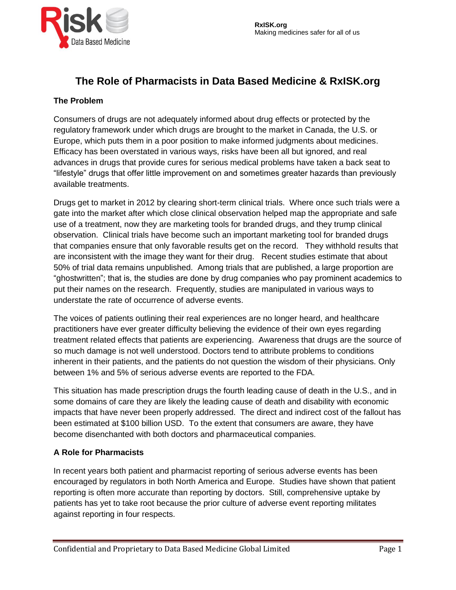

# **The Role of Pharmacists in Data Based Medicine & RxISK.org**

#### **The Problem**

Consumers of drugs are not adequately informed about drug effects or protected by the regulatory framework under which drugs are brought to the market in Canada, the U.S. or Europe, which puts them in a poor position to make informed judgments about medicines. Efficacy has been overstated in various ways, risks have been all but ignored, and real advances in drugs that provide cures for serious medical problems have taken a back seat to "lifestyle" drugs that offer little improvement on and sometimes greater hazards than previously available treatments.

Drugs get to market in 2012 by clearing short-term clinical trials. Where once such trials were a gate into the market after which close clinical observation helped map the appropriate and safe use of a treatment, now they are marketing tools for branded drugs, and they trump clinical observation. Clinical trials have become such an important marketing tool for branded drugs that companies ensure that only favorable results get on the record. They withhold results that are inconsistent with the image they want for their drug. Recent studies estimate that about 50% of trial data remains unpublished. Among trials that are published, a large proportion are "ghostwritten"; that is, the studies are done by drug companies who pay prominent academics to put their names on the research. Frequently, studies are manipulated in various ways to understate the rate of occurrence of adverse events.

The voices of patients outlining their real experiences are no longer heard, and healthcare practitioners have ever greater difficulty believing the evidence of their own eyes regarding treatment related effects that patients are experiencing. Awareness that drugs are the source of so much damage is not well understood. Doctors tend to attribute problems to conditions inherent in their patients, and the patients do not question the wisdom of their physicians. Only between 1% and 5% of serious adverse events are reported to the FDA.

This situation has made prescription drugs the fourth leading cause of death in the U.S., and in some domains of care they are likely the leading cause of death and disability with economic impacts that have never been properly addressed. The direct and indirect cost of the fallout has been estimated at \$100 billion USD. To the extent that consumers are aware, they have become disenchanted with both doctors and pharmaceutical companies.

#### **A Role for Pharmacists**

In recent years both patient and pharmacist reporting of serious adverse events has been encouraged by regulators in both North America and Europe. Studies have shown that patient reporting is often more accurate than reporting by doctors. Still, comprehensive uptake by patients has yet to take root because the prior culture of adverse event reporting militates against reporting in four respects.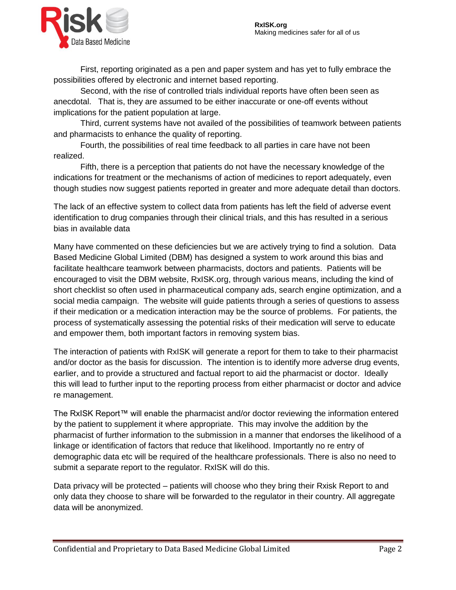

First, reporting originated as a pen and paper system and has yet to fully embrace the possibilities offered by electronic and internet based reporting.

Second, with the rise of controlled trials individual reports have often been seen as anecdotal. That is, they are assumed to be either inaccurate or one-off events without implications for the patient population at large.

Third, current systems have not availed of the possibilities of teamwork between patients and pharmacists to enhance the quality of reporting.

Fourth, the possibilities of real time feedback to all parties in care have not been realized.

Fifth, there is a perception that patients do not have the necessary knowledge of the indications for treatment or the mechanisms of action of medicines to report adequately, even though studies now suggest patients reported in greater and more adequate detail than doctors.

The lack of an effective system to collect data from patients has left the field of adverse event identification to drug companies through their clinical trials, and this has resulted in a serious bias in available data

Many have commented on these deficiencies but we are actively trying to find a solution. Data Based Medicine Global Limited (DBM) has designed a system to work around this bias and facilitate healthcare teamwork between pharmacists, doctors and patients. Patients will be encouraged to visit the DBM website, RxISK.org, through various means, including the kind of short checklist so often used in pharmaceutical company ads, search engine optimization, and a social media campaign. The website will guide patients through a series of questions to assess if their medication or a medication interaction may be the source of problems. For patients, the process of systematically assessing the potential risks of their medication will serve to educate and empower them, both important factors in removing system bias.

The interaction of patients with RxISK will generate a report for them to take to their pharmacist and/or doctor as the basis for discussion. The intention is to identify more adverse drug events, earlier, and to provide a structured and factual report to aid the pharmacist or doctor. Ideally this will lead to further input to the reporting process from either pharmacist or doctor and advice re management.

The RxISK Report™ will enable the pharmacist and/or doctor reviewing the information entered by the patient to supplement it where appropriate. This may involve the addition by the pharmacist of further information to the submission in a manner that endorses the likelihood of a linkage or identification of factors that reduce that likelihood. Importantly no re entry of demographic data etc will be required of the healthcare professionals. There is also no need to submit a separate report to the regulator. RxISK will do this.

Data privacy will be protected – patients will choose who they bring their Rxisk Report to and only data they choose to share will be forwarded to the regulator in their country. All aggregate data will be anonymized.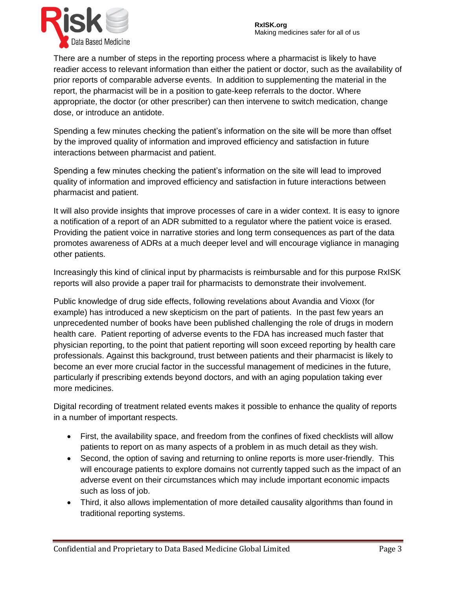

There are a number of steps in the reporting process where a pharmacist is likely to have readier access to relevant information than either the patient or doctor, such as the availability of prior reports of comparable adverse events. In addition to supplementing the material in the report, the pharmacist will be in a position to gate-keep referrals to the doctor. Where appropriate, the doctor (or other prescriber) can then intervene to switch medication, change dose, or introduce an antidote.

Spending a few minutes checking the patient's information on the site will be more than offset by the improved quality of information and improved efficiency and satisfaction in future interactions between pharmacist and patient.

Spending a few minutes checking the patient's information on the site will lead to improved quality of information and improved efficiency and satisfaction in future interactions between pharmacist and patient.

It will also provide insights that improve processes of care in a wider context. It is easy to ignore a notification of a report of an ADR submitted to a regulator where the patient voice is erased. Providing the patient voice in narrative stories and long term consequences as part of the data promotes awareness of ADRs at a much deeper level and will encourage vigliance in managing other patients.

Increasingly this kind of clinical input by pharmacists is reimbursable and for this purpose RxISK reports will also provide a paper trail for pharmacists to demonstrate their involvement.

Public knowledge of drug side effects, following revelations about Avandia and Vioxx (for example) has introduced a new skepticism on the part of patients. In the past few years an unprecedented number of books have been published challenging the role of drugs in modern health care. Patient reporting of adverse events to the FDA has increased much faster that physician reporting, to the point that patient reporting will soon exceed reporting by health care professionals. Against this background, trust between patients and their pharmacist is likely to become an ever more crucial factor in the successful management of medicines in the future, particularly if prescribing extends beyond doctors, and with an aging population taking ever more medicines.

Digital recording of treatment related events makes it possible to enhance the quality of reports in a number of important respects.

- First, the availability space, and freedom from the confines of fixed checklists will allow patients to report on as many aspects of a problem in as much detail as they wish.
- Second, the option of saving and returning to online reports is more user-friendly. This will encourage patients to explore domains not currently tapped such as the impact of an adverse event on their circumstances which may include important economic impacts such as loss of job.
- Third, it also allows implementation of more detailed causality algorithms than found in traditional reporting systems.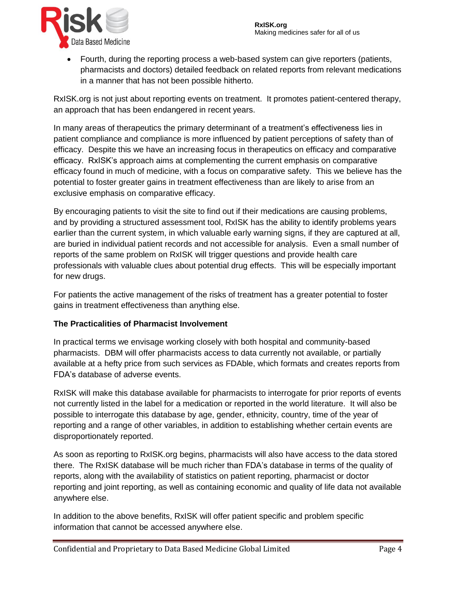

 Fourth, during the reporting process a web-based system can give reporters (patients, pharmacists and doctors) detailed feedback on related reports from relevant medications in a manner that has not been possible hitherto.

RxISK.org is not just about reporting events on treatment. It promotes patient-centered therapy, an approach that has been endangered in recent years.

In many areas of therapeutics the primary determinant of a treatment's effectiveness lies in patient compliance and compliance is more influenced by patient perceptions of safety than of efficacy. Despite this we have an increasing focus in therapeutics on efficacy and comparative efficacy. RxISK's approach aims at complementing the current emphasis on comparative efficacy found in much of medicine, with a focus on comparative safety. This we believe has the potential to foster greater gains in treatment effectiveness than are likely to arise from an exclusive emphasis on comparative efficacy.

By encouraging patients to visit the site to find out if their medications are causing problems, and by providing a structured assessment tool, RxISK has the ability to identify problems years earlier than the current system, in which valuable early warning signs, if they are captured at all, are buried in individual patient records and not accessible for analysis. Even a small number of reports of the same problem on RxISK will trigger questions and provide health care professionals with valuable clues about potential drug effects. This will be especially important for new drugs.

For patients the active management of the risks of treatment has a greater potential to foster gains in treatment effectiveness than anything else.

## **The Practicalities of Pharmacist Involvement**

In practical terms we envisage working closely with both hospital and community-based pharmacists. DBM will offer pharmacists access to data currently not available, or partially available at a hefty price from such services as FDAble, which formats and creates reports from FDA's database of adverse events.

RxISK will make this database available for pharmacists to interrogate for prior reports of events not currently listed in the label for a medication or reported in the world literature. It will also be possible to interrogate this database by age, gender, ethnicity, country, time of the year of reporting and a range of other variables, in addition to establishing whether certain events are disproportionately reported.

As soon as reporting to RxISK.org begins, pharmacists will also have access to the data stored there. The RxISK database will be much richer than FDA's database in terms of the quality of reports, along with the availability of statistics on patient reporting, pharmacist or doctor reporting and joint reporting, as well as containing economic and quality of life data not available anywhere else.

In addition to the above benefits, RxISK will offer patient specific and problem specific information that cannot be accessed anywhere else.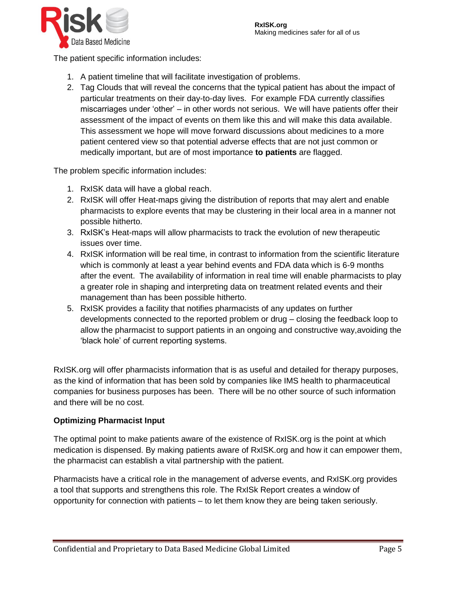

The patient specific information includes:

- 1. A patient timeline that will facilitate investigation of problems.
- 2. Tag Clouds that will reveal the concerns that the typical patient has about the impact of particular treatments on their day-to-day lives. For example FDA currently classifies miscarriages under 'other' – in other words not serious. We will have patients offer their assessment of the impact of events on them like this and will make this data available. This assessment we hope will move forward discussions about medicines to a more patient centered view so that potential adverse effects that are not just common or medically important, but are of most importance **to patients** are flagged.

The problem specific information includes:

- 1. RxISK data will have a global reach.
- 2. RxISK will offer Heat-maps giving the distribution of reports that may alert and enable pharmacists to explore events that may be clustering in their local area in a manner not possible hitherto.
- 3. RxISK's Heat-maps will allow pharmacists to track the evolution of new therapeutic issues over time.
- 4. RxISK information will be real time, in contrast to information from the scientific literature which is commonly at least a year behind events and FDA data which is 6-9 months after the event. The availability of information in real time will enable pharmacists to play a greater role in shaping and interpreting data on treatment related events and their management than has been possible hitherto.
- 5. RxISK provides a facility that notifies pharmacists of any updates on further developments connected to the reported problem or drug – closing the feedback loop to allow the pharmacist to support patients in an ongoing and constructive way,avoiding the 'black hole' of current reporting systems.

RxISK.org will offer pharmacists information that is as useful and detailed for therapy purposes, as the kind of information that has been sold by companies like IMS health to pharmaceutical companies for business purposes has been. There will be no other source of such information and there will be no cost.

## **Optimizing Pharmacist Input**

The optimal point to make patients aware of the existence of RxISK.org is the point at which medication is dispensed. By making patients aware of RxISK.org and how it can empower them, the pharmacist can establish a vital partnership with the patient.

Pharmacists have a critical role in the management of adverse events, and RxISK.org provides a tool that supports and strengthens this role. The RxISk Report creates a window of opportunity for connection with patients – to let them know they are being taken seriously.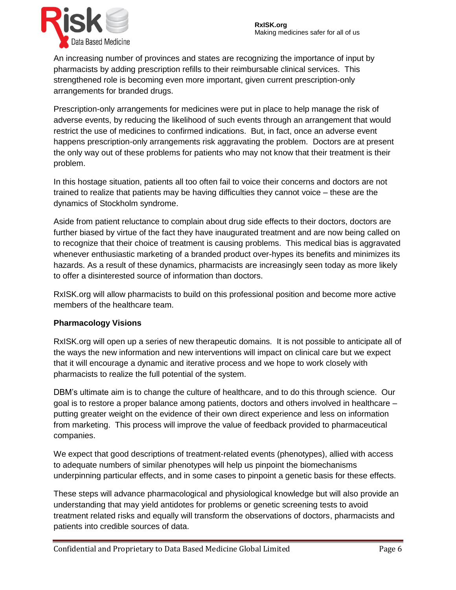

An increasing number of provinces and states are recognizing the importance of input by pharmacists by adding prescription refills to their reimbursable clinical services. This strengthened role is becoming even more important, given current prescription-only arrangements for branded drugs.

Prescription-only arrangements for medicines were put in place to help manage the risk of adverse events, by reducing the likelihood of such events through an arrangement that would restrict the use of medicines to confirmed indications. But, in fact, once an adverse event happens prescription-only arrangements risk aggravating the problem. Doctors are at present the only way out of these problems for patients who may not know that their treatment is their problem.

In this hostage situation, patients all too often fail to voice their concerns and doctors are not trained to realize that patients may be having difficulties they cannot voice – these are the dynamics of Stockholm syndrome.

Aside from patient reluctance to complain about drug side effects to their doctors, doctors are further biased by virtue of the fact they have inaugurated treatment and are now being called on to recognize that their choice of treatment is causing problems. This medical bias is aggravated whenever enthusiastic marketing of a branded product over-hypes its benefits and minimizes its hazards. As a result of these dynamics, pharmacists are increasingly seen today as more likely to offer a disinterested source of information than doctors.

RxISK.org will allow pharmacists to build on this professional position and become more active members of the healthcare team.

## **Pharmacology Visions**

RxISK.org will open up a series of new therapeutic domains. It is not possible to anticipate all of the ways the new information and new interventions will impact on clinical care but we expect that it will encourage a dynamic and iterative process and we hope to work closely with pharmacists to realize the full potential of the system.

DBM's ultimate aim is to change the culture of healthcare, and to do this through science. Our goal is to restore a proper balance among patients, doctors and others involved in healthcare – putting greater weight on the evidence of their own direct experience and less on information from marketing. This process will improve the value of feedback provided to pharmaceutical companies.

We expect that good descriptions of treatment-related events (phenotypes), allied with access to adequate numbers of similar phenotypes will help us pinpoint the biomechanisms underpinning particular effects, and in some cases to pinpoint a genetic basis for these effects.

These steps will advance pharmacological and physiological knowledge but will also provide an understanding that may yield antidotes for problems or genetic screening tests to avoid treatment related risks and equally will transform the observations of doctors, pharmacists and patients into credible sources of data.